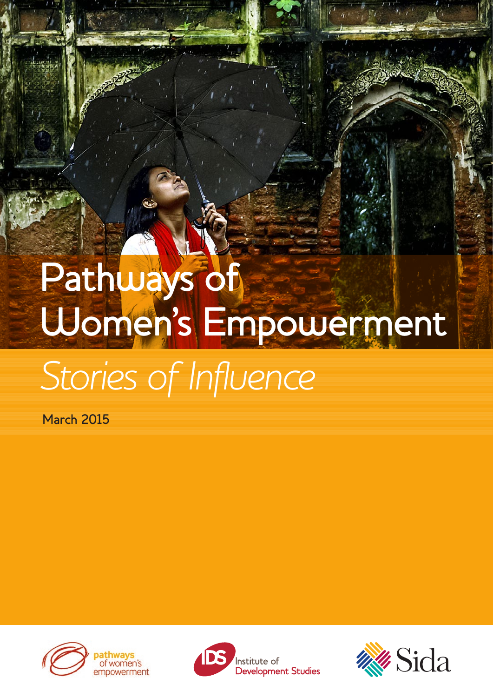# Pathways of Women's Empowerment  *Stories of Influence*

March 2015





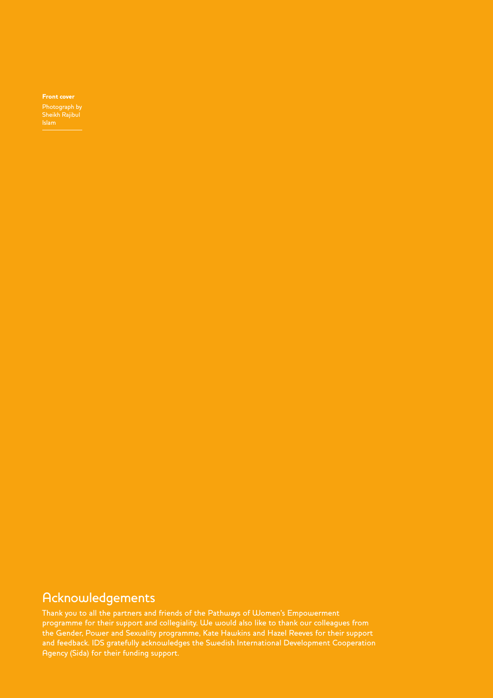Photograph by Sheikh Rajibul

#### **Acknowledgements**

Thank you to all the partners and friends of the Pathways of Women's Empowerment programme for their support and collegiality. We would also like to thank our colleagues from the Gender, Power and Sexuality programme, Kate Hawkins and Hazel Reeves for their support and feedback. IDS gratefully acknowledges the Swedish International Development Cooperation Agency (Sida) for their funding support.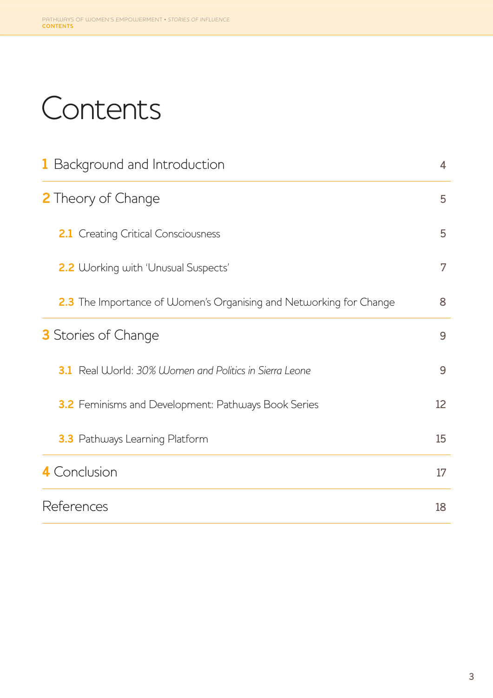### Contents

| 1 Background and Introduction                                      | $\overline{4}$ |
|--------------------------------------------------------------------|----------------|
| 2 Theory of Change                                                 | 5              |
| <b>2.1</b> Creating Critical Consciousness                         | 5              |
| <b>2.2</b> Working with 'Unusual Suspects'                         | 7              |
| 2.3 The Importance of Women's Organising and Networking for Change | 8              |
| <b>3</b> Stories of Change                                         | 9              |
| <b>3.1</b> Real World: 30% Women and Politics in Sierra Leone      | 9              |
| <b>3.2</b> Feminisms and Development: Pathways Book Series         | 12             |
| <b>3.3</b> Pathways Learning Platform                              | 15             |
| 4 Conclusion                                                       | 17             |
| References                                                         | 18             |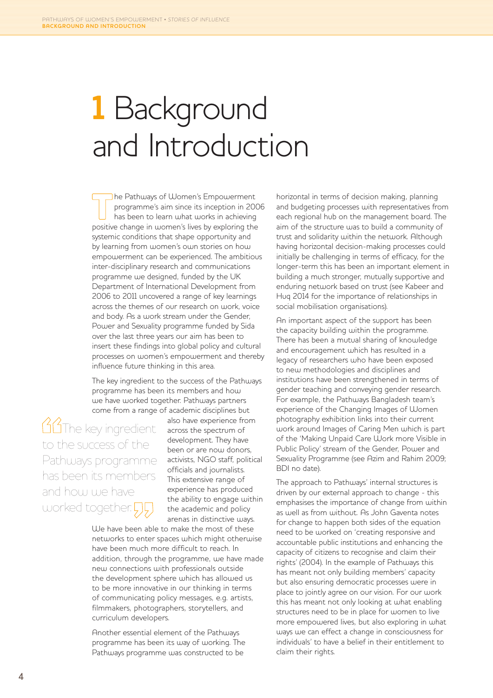### **1** Background and Introduction

**The Pathways of Women's Empowerment** programme's aim since its inception in 2006 has been to learn what works in achieving positive change in women's lives by exploring the systemic conditions that shape opportunity and by learning from women's own stories on how empowerment can be experienced. The ambitious inter-disciplinary research and communications programme we designed, funded by the UK Department of International Development from 2006 to 2011 uncovered a range of key learnings across the themes of our research on work, voice and body. As a work stream under the Gender, Power and Sexuality programme funded by Sida over the last three years our aim has been to insert these findings into global policy and cultural processes on women's empowerment and thereby influence future thinking in this area.

The key ingredient to the success of the Pathways programme has been its members and how we have worked together. Pathways partners come from a range of academic disciplines but

**GGThe key ingredient** to the success of the Pathways programme has been its members and how we have worked together. 55

also have experience from across the spectrum of development. They have been or are now donors, activists, NGO staff, political officials and journalists. This extensive range of experience has produced the ability to engage within the academic and policy arenas in distinctive ways.

We have been able to make the most of these networks to enter spaces which might otherwise have been much more difficult to reach. In addition, through the programme, we have made new connections with professionals outside the development sphere which has allowed us to be more innovative in our thinking in terms of communicating policy messages, e.g. artists, filmmakers, photographers, storytellers, and curriculum developers.

Another essential element of the Pathways programme has been its way of working. The Pathways programme was constructed to be

horizontal in terms of decision making, planning and budgeting processes with representatives from each regional hub on the management board. The aim of the structure was to build a community of trust and solidarity within the network. Although having horizontal decision-making processes could initially be challenging in terms of efficacy, for the longer-term this has been an important element in building a much stronger, mutually supportive and enduring network based on trust (see Kabeer and Huq 2014 for the importance of relationships in social mobilisation organisations).

An important aspect of the support has been the capacity building within the programme. There has been a mutual sharing of knowledge and encouragement which has resulted in a legacy of researchers who have been exposed to new methodologies and disciplines and institutions have been strengthened in terms of gender teaching and conveying gender research. For example, the Pathways Bangladesh team's experience of the Changing Images of Women photography exhibition links into their current work around Images of Caring Men which is part of the 'Making Unpaid Care Work more Visible in Public Policy' stream of the Gender, Power and Sexuality Programme (see Azim and Rahim 2009; BDI no date).

The approach to Pathways' internal structures is driven by our external approach to change - this emphasises the importance of change from within as well as from without. As John Gaventa notes for change to happen both sides of the equation need to be worked on 'creating responsive and accountable public institutions and enhancing the capacity of citizens to recognise and claim their rights' (2004). In the example of Pathways this has meant not only building members' capacity but also ensuring democratic processes were in place to jointly agree on our vision. For our work this has meant not only looking at what enabling structures need to be in place for women to live more empowered lives, but also exploring in what ways we can effect a change in consciousness for individuals' to have a belief in their entitlement to claim their rights.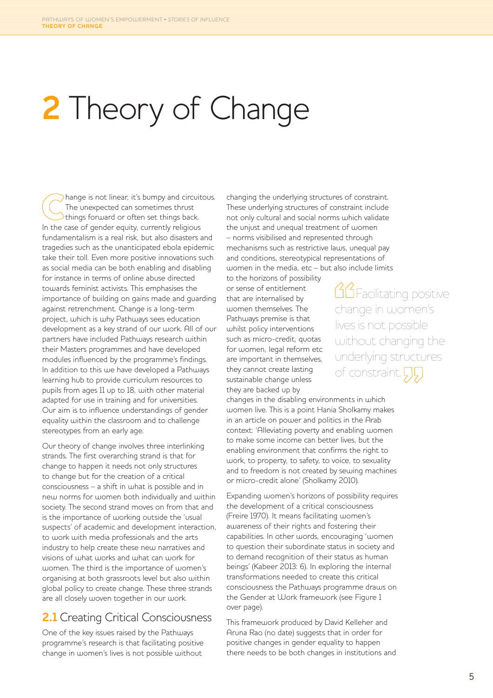## **2** Theory of Change

hange is not linear, it's bumpy and circuitous. The unexpected can sometimes thrust  $\lambda$ things forward or often set things back. In the case of gender equity, currently religious fundamentalism is a real risk, but also disasters and tragedies such as the unanticipated ebola epidemic take their toll. Even more positive innovations such as social media can be both enabling and disabling for instance in terms of online abuse directed towards feminist activists. This emphasises the importance of building on gains made and guarding against retrenchment. Change is a long-term project, which is why Pathways sees education development as a key strand of our work. All of our partners have included Pathways research within their Masters programmes and have developed modules influenced by the programme's findings. In addition to this we have developed a Pathways learning hub to provide curriculum resources to pupils from ages 11 up to 18, with other material adapted for use in training and for universities. Our aim is to influence understandings of gender equality within the classroom and to challenge stereotypes from an early age.

Our theory of change involves three interlinking strands. The first overarching strand is that for change to happen it needs not only structures to change but for the creation of a critical consciousness – a shift in what is possible and in new norms for women both individually and within society. The second strand moves on from that and is the importance of working outside the 'usual suspects' of academic and development interaction, to work with media professionals and the arts industry to help create these new narratives and visions of what works and what can work for women. The third is the importance of women's organising at both grassroots level but also within global policy to create change. These three strands are all closely woven together in our work.

#### **2.1** Creating Critical Consciousness

One of the key issues raised by the Pathways programme's research is that facilitating positive change in women's lives is not possible without

changing the underlying structures of constraint. These underlying structures of constraint include not only cultural and social norms which validate the unjust and unequal treatment of women – norms visibilised and represented through mechanisms such as restrictive laws, unequal pay and conditions, stereotypical representations of women in the media, etc – but also include limits

to the horizons of possibility or sense of entitlement that are internalised by women themselves. The Pathways premise is that whilst policy interventions such as micro-credit, quotas for women, legal reform etc are important in themselves, they cannot create lasting sustainable change unless they are backed up by

**A**GFacilitating positive change in women's lives is not possible without changing the underlying structures of constraint. 5)

changes in the disabling environments in which women live. This is a point Hania Sholkamy makes in an article on power and politics in the Arab context: 'Alleviating poverty and enabling women to make some income can better lives, but the enabling environment that confirms the right to work, to property, to safety, to voice, to sexuality and to freedom is not created by sewing machines or micro-credit alone' (Sholkamy 2010).

Expanding women's horizons of possibility requires the development of a critical consciousness (Freire 1970). It means facilitating women's awareness of their rights and fostering their capabilities. In other words, encouraging 'women to question their subordinate status in society and to demand recognition of their status as human beings' (Kabeer 2013: 6). In exploring the internal transformations needed to create this critical consciousness the Pathways programme draws on the Gender at Work framework (see Figure 1 over page).

This framework produced by David Kelleher and Aruna Rao (no date) suggests that in order for positive changes in gender equality to happen there needs to be both changes in institutions and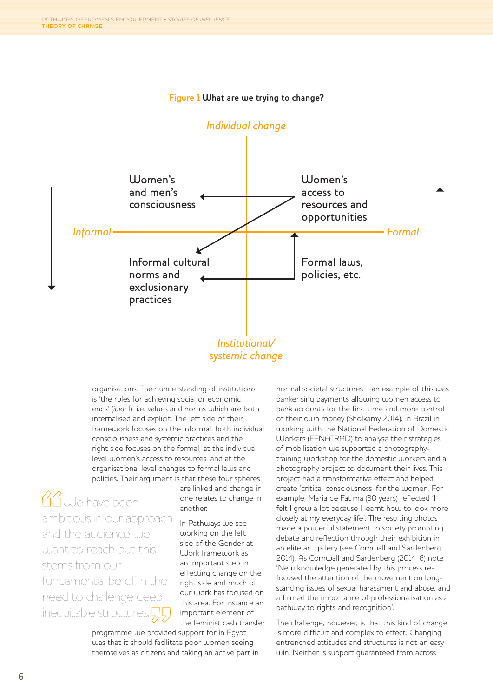#### **Figure 1 What are we trying to change?**



organisations. Their understanding of institutions is 'the rules for achieving social or economic ends' (*ibid:* 1), i.e. values and norms which are both internalised and explicit. The left side of their framework focuses on the informal, both individual consciousness and systemic practices and the right side focuses on the formal, at the individual level women's access to resources, and at the organisational level changes to formal laws and policies. Their argument is that these four spheres

**AG**We have been ambitious in our approach and the audience we want to reach but this stems from our fundamental belief in the need to challenge deep inequitable structures.

are linked and change in one relates to change in another.

In Pathways we see working on the left side of the Gender at Work framework as an important step in effecting change on the right side and much of our work has focused on this area. For instance an important element of the feminist cash transfer

programme we provided support for in Egypt was that it should facilitate poor women seeing themselves as citizens and taking an active part in normal societal structures – an example of this was bankerising payments allowing women access to bank accounts for the first time and more control of their own money (Sholkamy 2014). In Brazil in working with the National Federation of Domestic Workers (FENATRAD) to analyse their strategies of mobilisation we supported a photographytraining workshop for the domestic workers and a photography project to document their lives. This project had a transformative effect and helped create 'critical consciousness' for the women. For example, Maria de Fatima (30 years) reflected 'I felt I grew a lot because I learnt how to look more closely at my everyday life'. The resulting photos made a powerful statement to society prompting debate and reflection through their exhibition in an elite art gallery (see Cornwall and Sardenberg 2014). As Cornwall and Sardenberg (2014: 6) note: 'New knowledge generated by this process refocused the attention of the movement on longstanding issues of sexual harassment and abuse, and affirmed the importance of professionalisation as a pathway to rights and recognition'.

The challenge, however, is that this kind of change is more difficult and complex to effect. Changing entrenched attitudes and structures is not an easy win. Neither is support guaranteed from across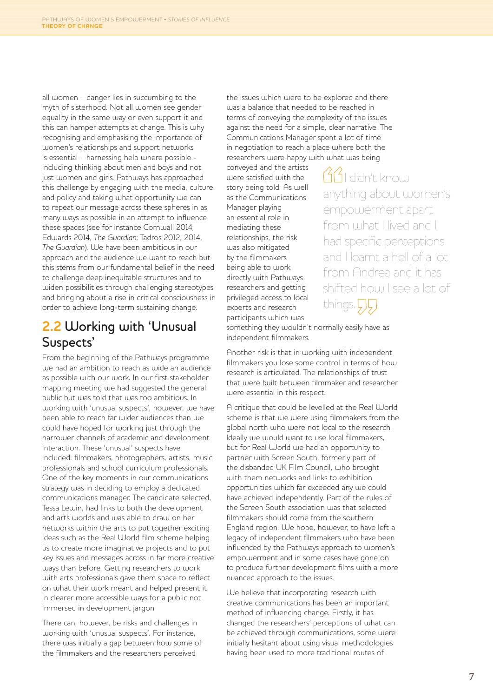all women – danger lies in succumbing to the myth of sisterhood. Not all women see gender equality in the same way or even support it and this can hamper attempts at change. This is why recognising and emphasising the importance of women's relationships and support networks is essential – harnessing help where possible including thinking about men and boys and not just women and girls. Pathways has approached this challenge by engaging with the media, culture and policy and taking what opportunity we can to repeat our message across these spheres in as many ways as possible in an attempt to influence these spaces (see for instance Cornwall 2014; Edwards 2014, *The Guardian*; Tadros 2012, 2014, *The Guardian*). We have been ambitious in our approach and the audience we want to reach but this stems from our fundamental belief in the need to challenge deep inequitable structures and to widen possibilities through challenging stereotypes and bringing about a rise in critical consciousness in order to achieve long-term sustaining change.

#### **2.2** Working with 'Unusual Suspects'

From the beginning of the Pathways programme we had an ambition to reach as wide an audience as possible with our work. In our first stakeholder mapping meeting we had suggested the general public but was told that was too ambitious. In working with 'unusual suspects', however, we have been able to reach far wider audiences than we could have hoped for working just through the narrower channels of academic and development interaction. These 'unusual' suspects have included: filmmakers, photographers, artists, music professionals and school curriculum professionals. One of the key moments in our communications strategy was in deciding to employ a dedicated communications manager. The candidate selected, Tessa Lewin, had links to both the development and arts worlds and was able to draw on her networks within the arts to put together exciting ideas such as the Real World film scheme helping us to create more imaginative projects and to put key issues and messages across in far more creative ways than before. Getting researchers to work with arts professionals gave them space to reflect on what their work meant and helped present it in clearer more accessible ways for a public not immersed in development jargon.

There can, however, be risks and challenges in working with 'unusual suspects'. For instance, there was initially a gap between how some of the filmmakers and the researchers perceived

the issues which were to be explored and there was a balance that needed to be reached in terms of conveying the complexity of the issues against the need for a simple, clear narrative. The Communications Manager spent a lot of time in negotiation to reach a place where both the researchers were happy with what was being

conveyed and the artists were satisfied with the story being told. As well as the Communications Manager playing an essential role in mediating these relationships, the risk was also mitigated by the filmmakers being able to work directly with Pathways researchers and getting privileged access to local experts and research participants which was

 $11$ didn't know anything about women's empowerment apart from what I lived and I had specific perceptions and I learnt a hell of a lot from Andrea and it has shifted how I see a lot of things. 55

something they wouldn't normally easily have as independent filmmakers.

Another risk is that in working with independent filmmakers you lose some control in terms of how research is articulated. The relationships of trust that were built between filmmaker and researcher were essential in this respect.

A critique that could be levelled at the Real World scheme is that we were using filmmakers from the global north who were not local to the research. Ideally we would want to use local filmmakers, but for Real World we had an opportunity to partner with Screen South, formerly part of the disbanded UK Film Council, who brought with them networks and links to exhibition opportunities which far exceeded any we could have achieved independently. Part of the rules of the Screen South association was that selected filmmakers should come from the southern England region. We hope, however, to have left a legacy of independent filmmakers who have been influenced by the Pathways approach to women's empowerment and in some cases have gone on to produce further development films with a more nuanced approach to the issues.

We believe that incorporating research with creative communications has been an important method of influencing change. Firstly, it has changed the researchers' perceptions of what can be achieved through communications, some were initially hesitant about using visual methodologies having been used to more traditional routes of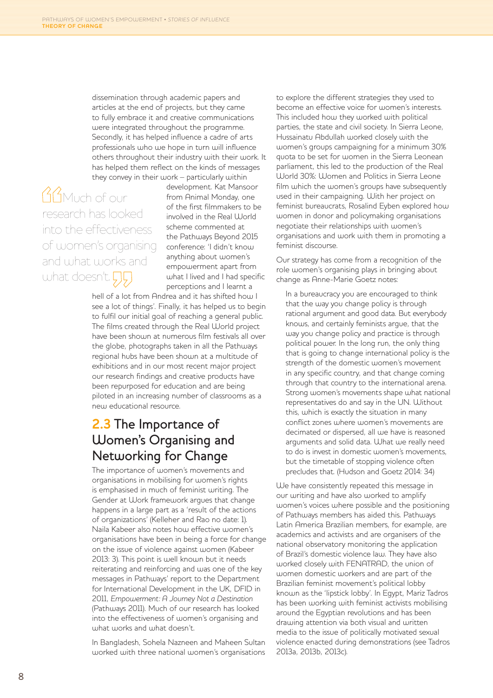dissemination through academic papers and articles at the end of projects, but they came to fully embrace it and creative communications were integrated throughout the programme. Secondly, it has helped influence a cadre of arts professionals who we hope in turn will influence others throughout their industry with their work. It has helped them reflect on the kinds of messages they convey in their work – particularly within

11 Much of our research has looked into the effectiveness of women's organising and what works and what doesn't. 55

development. Kat Mansoor from Animal Monday, one of the first filmmakers to be involved in the Real World scheme commented at the Pathways Beyond 2015 conference: 'I didn't know anything about women's empowerment apart from what I lived and I had specific perceptions and I learnt a

hell of a lot from Andrea and it has shifted how I see a lot of things'. Finally, it has helped us to begin to fulfil our initial goal of reaching a general public. The films created through the Real World project have been shown at numerous film festivals all over the globe, photographs taken in all the Pathways regional hubs have been shown at a multitude of exhibitions and in our most recent major project our research findings and creative products have been repurposed for education and are being piloted in an increasing number of classrooms as a new educational resource.

#### **2.3** The Importance of Women's Organising and Networking for Change

The importance of women's movements and organisations in mobilising for women's rights is emphasised in much of feminist writing. The Gender at Work framework argues that change happens in a large part as a 'result of the actions of organizations' (Kelleher and Rao no date: 1). Naila Kabeer also notes how effective women's organisations have been in being a force for change on the issue of violence against women (Kabeer 2013: 3). This point is well known but it needs reiterating and reinforcing and was one of the key messages in Pathways' report to the Department for International Development in the UK, DFID in 2011, *Empowerment: A Journey Not a Destination* (Pathways 2011). Much of our research has looked into the effectiveness of women's organising and what works and what doesn't.

In Bangladesh, Sohela Nazneen and Maheen Sultan worked with three national women's organisations

to explore the different strategies they used to become an effective voice for women's interests. This included how they worked with political parties, the state and civil society. In Sierra Leone, Hussainatu Abdullah worked closely with the women's groups campaigning for a minimum 30% quota to be set for women in the Sierra Leonean parliament, this led to the production of the Real World 30%: Women and Politics in Sierra Leone film which the women's groups have subsequently used in their campaigning. With her project on feminist bureaucrats, Rosalind Eyben explored how women in donor and policymaking organisations negotiate their relationships with women's organisations and work with them in promoting a feminist discourse.

Our strategy has come from a recognition of the role women's organising plays in bringing about change as Anne-Marie Goetz notes:

In a bureaucracy you are encouraged to think that the way you change policy is through rational argument and good data. But everybody knows, and certainly feminists argue, that the way you change policy and practice is through political power. In the long run, the only thing that is going to change international policy is the strength of the domestic women's movement in any specific country, and that change coming through that country to the international arena. Strong women's movements shape what national representatives do and say in the UN. Without this, which is exactly the situation in many conflict zones where women's movements are decimated or dispersed, all we have is reasoned arguments and solid data. What we really need to do is invest in domestic women's movements, but the timetable of stopping violence often precludes that. (Hudson and Goetz 2014: 34)

We have consistently repeated this message in our writing and have also worked to amplify women's voices where possible and the positioning of Pathways members has aided this. Pathways Latin America Brazilian members, for example, are academics and activists and are organisers of the national observatory monitoring the application of Brazil's domestic violence law. They have also worked closely with FENATRAD, the union of women domestic workers and are part of the Brazilian feminist movement's political lobby known as the 'lipstick lobby'. In Egypt, Mariz Tadros has been working with feminist activists mobilising around the Egyptian revolutions and has been drawing attention via both visual and written media to the issue of politically motivated sexual violence enacted during demonstrations (see Tadros 2013a, 2013b, 2013c).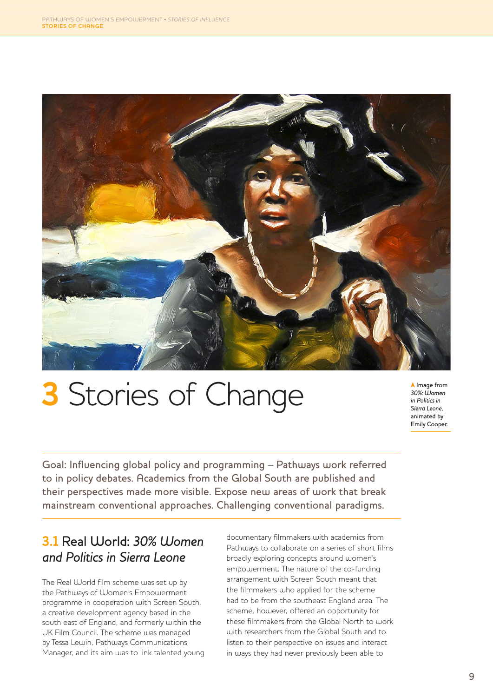

### **3** Stories of Change

A Image from *30%: Women in Politics in Sierra Leone*, animated by Emily Cooper.

Goal: Influencing global policy and programming – Pathways work referred to in policy debates. Academics from the Global South are published and their perspectives made more visible. Expose new areas of work that break mainstream conventional approaches. Challenging conventional paradigms.

#### **3.1** Real World: *30% Women and Politics in Sierra Leone*

The Real World film scheme was set up by the Pathways of Women's Empowerment programme in cooperation with Screen South, a creative development agency based in the south east of England, and formerly within the UK Film Council. The scheme was managed by Tessa Lewin, Pathways Communications Manager, and its aim was to link talented young

documentary filmmakers with academics from Pathways to collaborate on a series of short films broadly exploring concepts around women's empowerment. The nature of the co-funding arrangement with Screen South meant that the filmmakers who applied for the scheme had to be from the southeast England area. The scheme, however, offered an opportunity for these filmmakers from the Global North to work with researchers from the Global South and to listen to their perspective on issues and interact in ways they had never previously been able to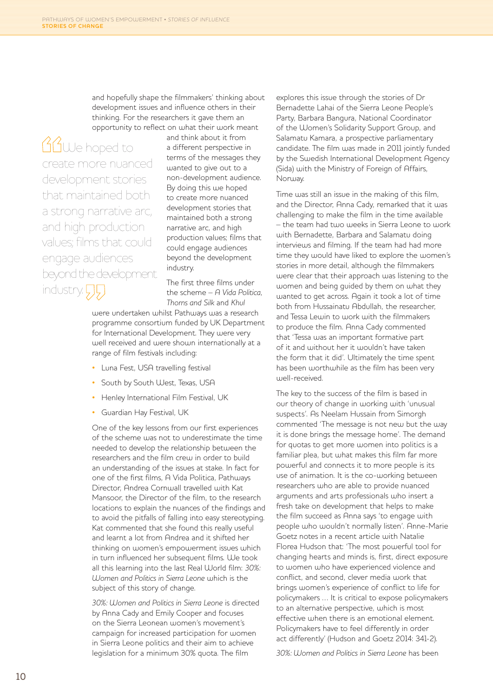and hopefully shape the filmmakers' thinking about development issues and influence others in their thinking. For the researchers it gave them an opportunity to reflect on what their work meant

**AG**We hoped to create more nuanced development stories that maintained both a strong narrative arc, and high production values; films that could engage audiences beyond the development industry. 55

and think about it from a different perspective in terms of the messages they wanted to give out to a non-development audience. By doing this we hoped to create more nuanced development stories that maintained both a strong narrative arc, and high production values; films that could engage audiences beyond the development industry.

The first three films under the scheme – *A Vida Politica*, *Thorns and Silk* and *Khul*

were undertaken whilst Pathways was a research programme consortium funded by UK Department for International Development. They were very well received and were shown internationally at a range of film festivals including:

- Luna Fest, USA travelling festival
- South by South West, Texas, USA
- Henley International Film Festival, UK
- Guardian Hay Festival, UK

One of the key lessons from our first experiences of the scheme was not to underestimate the time needed to develop the relationship between the researchers and the film crew in order to build an understanding of the issues at stake. In fact for one of the first films, A Vida Politica, Pathways Director, Andrea Cornwall travelled with Kat Mansoor, the Director of the film, to the research locations to explain the nuances of the findings and to avoid the pitfalls of falling into easy stereotyping. Kat commented that she found this really useful and learnt a lot from Andrea and it shifted her thinking on women's empowerment issues which in turn influenced her subsequent films. We took all this learning into the last Real World film: *30%: Women and Politics in Sierra Leone* which is the subject of this story of change.

*30%: Women and Politics in Sierra Leone* is directed by Anna Cady and Emily Cooper and focuses on the Sierra Leonean women's movement's campaign for increased participation for women in Sierra Leone politics and their aim to achieve legislation for a minimum 30% quota. The film

explores this issue through the stories of Dr Bernadette Lahai of the Sierra Leone People's Party, Barbara Bangura, National Coordinator of the Women's Solidarity Support Group, and Salamatu Kamara, a prospective parliamentary candidate. The film was made in 2011 jointly funded by the Swedish International Development Agency (Sida) with the Ministry of Foreign of Affairs, Norway.

Time was still an issue in the making of this film, and the Director, Anna Cady, remarked that it was challenging to make the film in the time available – the team had two weeks in Sierra Leone to work with Bernadette, Barbara and Salamatu doing interviews and filming. If the team had had more time they would have liked to explore the women's stories in more detail, although the filmmakers were clear that their approach was listening to the women and being guided by them on what they wanted to get across. Again it took a lot of time both from Hussainatu Abdullah, the researcher, and Tessa Lewin to work with the filmmakers to produce the film. Anna Cady commented that 'Tessa was an important formative part of it and without her it wouldn't have taken the form that it did'. Ultimately the time spent has been worthwhile as the film has been very well-received.

The key to the success of the film is based in our theory of change in working with 'unusual suspects'. As Neelam Hussain from Simorgh commented 'The message is not new but the way it is done brings the message home'. The demand for quotas to get more women into politics is a familiar plea, but what makes this film far more powerful and connects it to more people is its use of animation. It is the co-working between researchers who are able to provide nuanced arguments and arts professionals who insert a fresh take on development that helps to make the film succeed as Anna says 'to engage with people who wouldn't normally listen'. Anne-Marie Goetz notes in a recent article with Natalie Florea Hudson that: 'The most powerful tool for changing hearts and minds is, first, direct exposure to women who have experienced violence and conflict, and second, clever media work that brings women's experience of conflict to life for policymakers … It is critical to expose policymakers to an alternative perspective, which is most effective when there is an emotional element. Policymakers have to feel differently in order act differently' (Hudson and Goetz 2014: 341-2).

*30%: Women and Politics in Sierra Leone* has been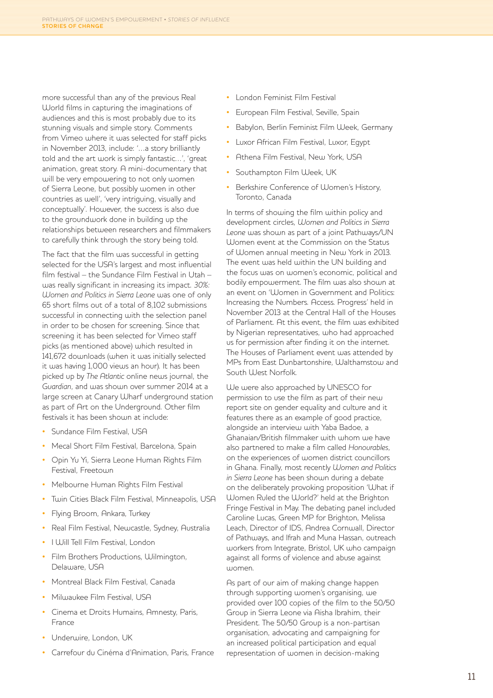more successful than any of the previous Real World films in capturing the imaginations of audiences and this is most probably due to its stunning visuals and simple story. Comments from Vimeo where it was selected for staff picks in November 2013, include: '…a story brilliantly told and the art work is simply fantastic…', 'great animation, great story. A mini-documentary that will be very empowering to not only women of Sierra Leone, but possibly women in other countries as well', 'very intriguing, visually and conceptually'. However, the success is also due to the groundwork done in building up the relationships between researchers and filmmakers to carefully think through the story being told.

The fact that the film was successful in getting selected for the USA's largest and most influential film festival – the Sundance Film Festival in Utah – was really significant in increasing its impact. *30%: Women and Politics in Sierra Leone* was one of only 65 short films out of a total of 8,102 submissions successful in connecting with the selection panel in order to be chosen for screening. Since that screening it has been selected for Vimeo staff picks (as mentioned above) which resulted in 141,672 downloads (when it was initially selected it was having 1,000 views an hour). It has been picked up by *The Atlantic* online news journal, the *Guardian*, and was shown over summer 2014 at a large screen at Canary Wharf underground station as part of Art on the Underground. Other film festivals it has been shourn at include:

- Sundance Film Festival, USA
- Mecal Short Film Festival, Barcelona, Spain
- Opin Yu Yi, Sierra Leone Human Rights Film Festival, Freetoun
- Melbourne Human Rights Film Festival
- Twin Cities Black Film Festival, Minneapolis, USA
- Flying Broom, Ankara, Turkey
- Real Film Festival, Newcastle, Sydney, Australia
- I Will Tell Film Festival, London
- Film Brothers Productions, Wilmington, Delaware, USA
- Montreal Black Film Festival, Canada
- Milwaukee Film Festival, USA
- Cinema et Droits Humains, Amnesty, Paris, France
- Underwire, London, UK
- Carrefour du Cinéma d'Animation, Paris, France
- London Feminist Film Festival
- European Film Festival, Seville, Spain
- Babylon, Berlin Feminist Film Week, Germany
	- Luxor African Film Festival, Luxor, Egypt
- Athena Film Festival, New York, USA
- Southampton Film Week, UK
- Berkshire Conference of Women's History, Toronto, Canada

In terms of showing the film within policy and development circles, *Women and Politics in Sierra Leone* was shown as part of a joint Pathways/UN Women event at the Commission on the Status of Women annual meeting in New York in 2013. The event was held within the UN building and the focus was on women's economic, political and bodily empowerment. The film was also shown at an event on 'Women in Government and Politics: Increasing the Numbers. Access. Progress' held in November 2013 at the Central Hall of the Houses of Parliament. At this event, the film was exhibited by Nigerian representatives, who had approached us for permission after finding it on the internet. The Houses of Parliament event was attended by MPs from East Dunbartonshire, Walthamstow and South West Norfolk.

We were also approached by UNESCO for permission to use the film as part of their new report site on gender equality and culture and it features there as an example of good practice, alongside an interview with Yaba Badoe, a Ghanaian/British filmmaker with whom we have also partnered to make a film called *Honourables*, on the experiences of women district councillors in Ghana. Finally, most recently *Women and Politics in Sierra Leone* has been shown during a debate on the deliberately provoking proposition 'What if Women Ruled the World?' held at the Brighton Fringe Festival in May. The debating panel included Caroline Lucas, Green MP for Brighton, Melissa Leach, Director of IDS, Andrea Cornwall, Director of Pathways, and Ifrah and Muna Hassan, outreach workers from Integrate, Bristol, UK who campaign against all forms of violence and abuse against women.

As part of our aim of making change happen through supporting women's organising, we provided over 100 copies of the film to the 50/50 Group in Sierra Leone via Aisha Ibrahim, their President. The 50/50 Group is a non-partisan organisation, advocating and campaigning for an increased political participation and equal representation of women in decision-making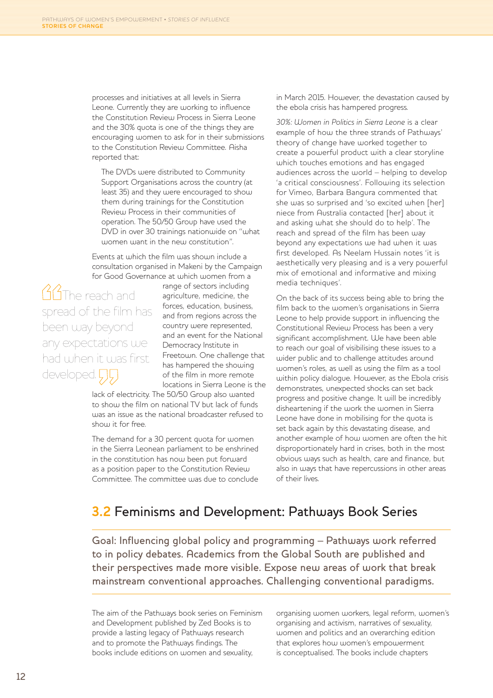processes and initiatives at all levels in Sierra Leone. Currently they are working to influence the Constitution Review Process in Sierra Leone and the 30% quota is one of the things they are encouraging women to ask for in their submissions to the Constitution Review Committee. Aisha reported that:

The DVDs were distributed to Community Support Organisations across the country (at least 35) and they were encouraged to show them during trainings for the Constitution Review Process in their communities of operation. The 50/50 Group have used the DVD in over 30 trainings nationwide on "what women want in the new constitution".

Events at which the film was shown include a consultation organised in Makeni by the Campaign for Good Governance at which women from a

**A**SThe reach and spread of the film has been way beyond any expectations we had when it was first developed. 55

range of sectors including agriculture, medicine, the forces, education, business, and from regions across the country were represented, and an event for the National Democracy Institute in Freetown. One challenge that has hampered the showing of the film in more remote locations in Sierra Leone is the

lack of electricity. The 50/50 Group also wanted to show the film on national TV but lack of funds was an issue as the national broadcaster refused to shou it for free

The demand for a 30 percent quota for women in the Sierra Leonean parliament to be enshrined in the constitution has now been put forward as a position paper to the Constitution Review Committee. The committee was due to conclude in March 2015. However, the devastation caused by the ebola crisis has hampered progress.

*30%: Women in Politics in Sierra Leone* is a clear example of how the three strands of Pathways' theory of change have worked together to create a powerful product with a clear storyline which touches emotions and has engaged audiences across the world – helping to develop 'a critical consciousness'. Following its selection for Vimeo, Barbara Bangura commented that she was so surprised and 'so excited when [her] niece from Australia contacted [her] about it and asking what she should do to help'. The reach and spread of the film has been way beyond any expectations we had when it was first developed. As Neelam Hussain notes 'it is aesthetically very pleasing and is a very powerful mix of emotional and informative and mixing media techniques'.

On the back of its success being able to bring the film back to the women's organisations in Sierra Leone to help provide support in influencing the Constitutional Review Process has been a very significant accomplishment. We have been able to reach our goal of visibilising these issues to a wider public and to challenge attitudes around women's roles, as well as using the film as a tool within policy dialogue. However, as the Ebola crisis demonstrates, unexpected shocks can set back progress and positive change. It will be incredibly disheartening if the work the women in Sierra Leone have done in mobilising for the quota is set back again by this devastating disease, and another example of how women are often the hit disproportionately hard in crises, both in the most obvious ways such as health, care and finance, but also in ways that have repercussions in other areas of their lives.

#### **3.2** Feminisms and Development: Pathways Book Series

Goal: Influencing global policy and programming – Pathways work referred to in policy debates. Academics from the Global South are published and their perspectives made more visible. Expose new areas of work that break mainstream conventional approaches. Challenging conventional paradigms.

The aim of the Pathways book series on Feminism and Development published by Zed Books is to provide a lasting legacy of Pathways research and to promote the Pathways findings. The books include editions on women and sexuality,

organising women workers, legal reform, women's organising and activism, narratives of sexuality, women and politics and an overarching edition that explores how women's empowerment is conceptualised. The books include chapters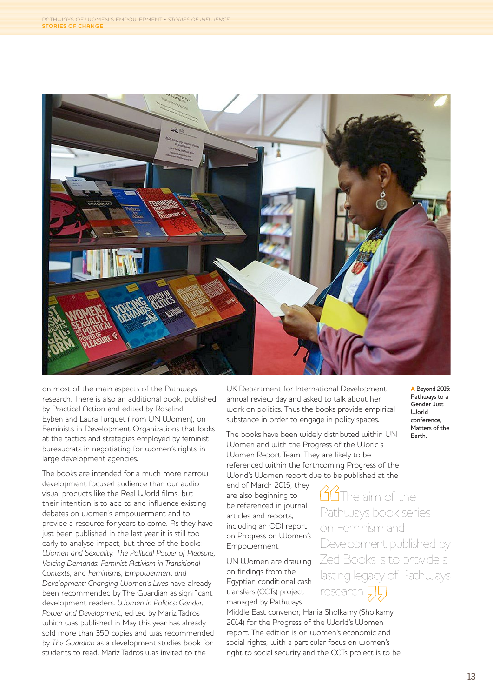

on most of the main aspects of the Pathways research. There is also an additional book, published by Practical Action and edited by Rosalind Eyben and Laura Turquet (from UN Women), on Feminists in Development Organizations that looks at the tactics and strategies employed by feminist bureaucrats in negotiating for women's rights in large development agencies.

The books are intended for a much more narrow development focused audience than our audio visual products like the Real World films, but their intention is to add to and influence existing debates on women's empowerment and to provide a resource for years to come. As they have just been published in the last year it is still too early to analyse impact, but three of the books: *Women and Sexuality*: *The Political Power of Pleasure, Voicing Demands*: *Feminist Activism in Transitional Contexts*, and *Feminisms, Empowerment and Development: Changing Women's Lives* have already been recommended by The Guardian as significant development readers. *Women in Politics: Gender, Power and Development*, edited by Mariz Tadros which was published in May this year has already sold more than 350 copies and was recommended by *The Guardian* as a development studies book for students to read. Mariz Tadros was invited to the

UK Department for International Development annual review day and asked to talk about her work on politics. Thus the books provide empirical substance in order to engage in policy spaces.

The books have been widely distributed within UN Women and with the Progress of the World's Women Report Team. They are likely to be referenced within the forthcoming Progress of the World's Women report due to be published at the

 $\acute{}$  1 $\acute{}$ The aim of the

on Feminism and

research. **L** J L

Pathways book series

Development published by Zed Books is to provide a lasting legacy of Pathways

end of March 2015, they are also beginning to be referenced in journal articles and reports, including an ODI report on Progress on Women's Empowerment.

UN Women are drawing on findings from the Egyptian conditional cash transfers (CCTs) project managed by Pathways

Middle East convenor, Hania Sholkamy (Sholkamy 2014) for the Progress of the World's Women report. The edition is on women's economic and social rights, with a particular focus on women's right to social security and the CCTs project is to be

Beyond 2015: Pathways to a Gender Just World conference, Matters of the Earth.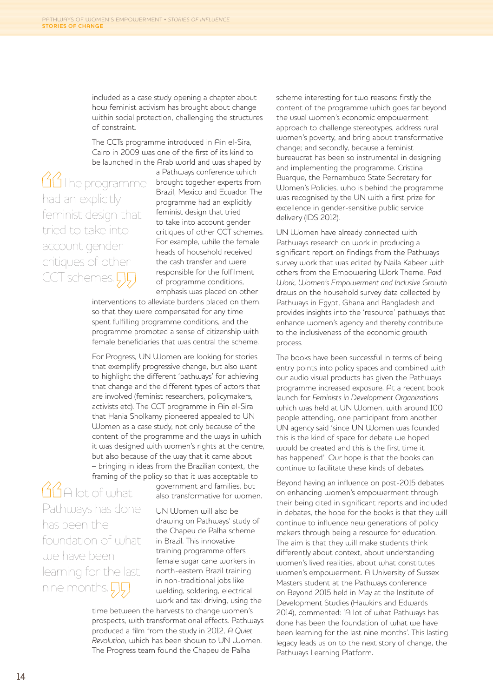included as a case study opening a chapter about how feminist activism has brought about change within social protection, challenging the structures of constraint.

The CCTs programme introduced in Ain el-Sira, Cairo in 2009 was one of the first of its kind to be launched in the Arab world and was shaped by

**GGThe programme** had an explicitly feminist design that tried to take into account gender critiques of other CCT schemes. 515

a Pathways conference which brought together experts from Brazil, Mexico and Ecuador. The programme had an explicitly feminist design that tried to take into account gender critiques of other CCT schemes. For example, while the female heads of household received the cash transfer and were responsible for the fulfilment of programme conditions, emphasis was placed on other

interventions to alleviate burdens placed on them, so that they were compensated for any time spent fulfilling programme conditions, and the programme promoted a sense of citizenship with female beneficiaries that was central the scheme.

For Progress, UN Women are looking for stories that exemplify progressive change, but also want to highlight the different 'pathways' for achieving that change and the different types of actors that are involved (feminist researchers, policymakers, activists etc). The CCT programme in Ain el-Sira that Hania Sholkamy pioneered appealed to UN Women as a case study, not only because of the content of the programme and the ways in which it was designed with women's rights at the centre, but also because of the way that it came about – bringing in ideas from the Brazilian context, the framing of the policy so that it was acceptable to

**A** A lot of what Pathways has done has been the foundation of what we have been learning for the last nine months. 55

government and families, but also transformative for women.

UN Women will also be drawing on Pathways' study of the Chapeu de Palha scheme in Brazil. This innovative training programme offers female sugar cane workers in north-eastern Brazil training in non-traditional jobs like welding, soldering, electrical work and taxi driving, using the

time between the harvests to change women's prospects, with transformational effects. Pathways produced a film from the study in 2012, *A Quiet Revolution*, which has been shown to UN Women. The Progress team found the Chapeu de Palha

scheme interesting for two reasons: firstly the content of the programme which goes far beyond the usual women's economic empowerment approach to challenge stereotypes, address rural women's poverty, and bring about transformative change; and secondly, because a feminist bureaucrat has been so instrumental in designing and implementing the programme. Cristina Buarque, the Pernambuco State Secretary for Women's Policies, who is behind the programme was recognised by the UN with a first prize for excellence in gender-sensitive public service delivery (IDS 2012).

UN Women have already connected with Pathways research on work in producing a significant report on findings from the Pathways survey work that was edited by Naila Kabeer with others from the Empowering Work Theme. *Paid Work, Women's Empowerment and Inclusive Growth* draws on the household survey data collected by Pathways in Egypt, Ghana and Bangladesh and provides insights into the 'resource' pathways that enhance women's agency and thereby contribute to the inclusiveness of the economic growth process.

The books have been successful in terms of being entry points into policy spaces and combined with our audio visual products has given the Pathways programme increased exposure. At a recent book launch for *Feminists in Development Organizations* which was held at UN Women, with around 100 people attending, one participant from another UN agency said 'since UN Women was founded this is the kind of space for debate we hoped would be created and this is the first time it has happened'. Our hope is that the books can continue to facilitate these kinds of debates.

Beyond having an influence on post-2015 debates on enhancing women's empowerment through their being cited in significant reports and included in debates, the hope for the books is that they will continue to influence new generations of policy makers through being a resource for education. The aim is that they will make students think differently about context, about understanding women's lived realities, about what constitutes women's empowerment. A University of Sussex Masters student at the Pathways conference on Beyond 2015 held in May at the Institute of Development Studies (Hawkins and Edwards 2014), commented: 'A lot of what Pathways has done has been the foundation of what we have been learning for the last nine months'. This lasting legacy leads us on to the next story of change, the Pathways Learning Platform.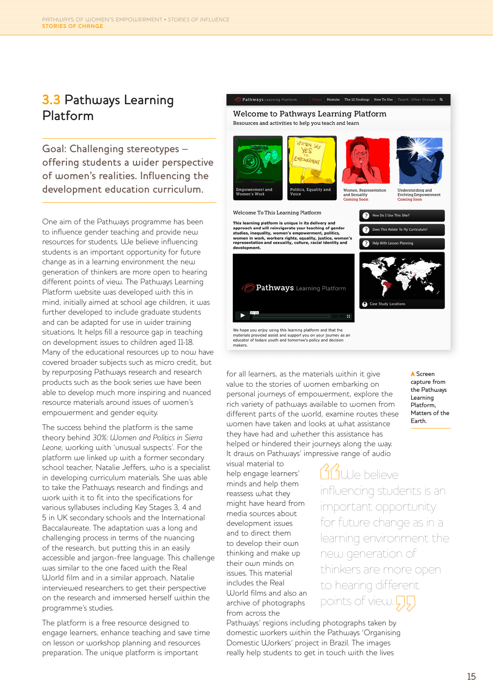15

#### **3.3** Pathways Learning Platform

Goal: Challenging stereotypes – offering students a wider perspective of women's realities. Influencing the development education curriculum.

One aim of the Pathways programme has been to influence gender teaching and provide new resources for students. We believe influencing students is an important opportunity for future change as in a learning environment the new generation of thinkers are more open to hearing different points of view. The Pathways Learning Platform website was developed with this in mind, initially aimed at school age children, it was further developed to include graduate students and can be adapted for use in wider training situations. It helps fill a resource gap in teaching on development issues to children aged 11-18. Many of the educational resources up to now have covered broader subjects such as micro credit, but by repurposing Pathways research and research products such as the book series we have been able to develop much more inspiring and nuanced resource materials around issues of women's empowerment and gender equity.

The success behind the platform is the same theory behind *30%: Women and Politics in Sierra Leone,* working with 'unusual suspects'. For the platform we linked up with a former secondary school teacher, Natalie Jeffers, who is a specialist in developing curriculum materials. She was able to take the Pathways research and findings and work with it to fit into the specifications for various syllabuses including Key Stages 3, 4 and 5 in UK secondary schools and the International Baccalaureate. The adaptation was a long and challenging process in terms of the nuancing of the research, but putting this in an easily accessible and jargon-free language. This challenge was similar to the one faced with the Real World film and in a similar approach, Natalie interviewed researchers to get their perspective on the research and immersed herself within the programme's studies.

The platform is a free resource designed to engage learners, enhance teaching and save time on lesson or workshop planning and resources preparation. The unique platform is important

for all learners, as the materials within it give value to the stories of women embarking on personal journeys of empowerment, explore the rich variety of pathways available to women from different parts of the world, examine routes these women have taken and looks at what assistance they have had and whether this assistance has helped or hindered their journeys along the way. It draws on Pathways' impressive range of audio

visual material to help engage learners' minds and help them reassess what they might have heard from media sources about development issues and to direct them to develop their own thinking and make up their own minds on issues. This material includes the Real World films and also an archive of photographs from across the

Pathways' regions including photographs taken by domestic workers within the Pathways 'Organising Domestic Workers' project in Brazil. The images really help students to get in touch with the lives

**A** Screen capture from the Pathways Learning Platform, Matters of the Earth.

Modules The 12 Findings How To Use Teach: Other Groups Q Welcome to Pathways Learning Platform Resources and activities to help you teach and learn



This learning platform is unique in its delivery and<br>approach and will reinvigorate your teaching of gender<br>studies, inequality, women's empowerment, politics,<br>women in work, workers rights, equality, justice, women'<br>repre

Welcome To This Learning Platform

Pathways Learning Platt



 $\bullet$ 



Understanding and Evolving Empowerment

How Do I Use This Site?

es This Relate To My Currico



**M**UJe believe

influencing students is an

important opportunity for future change as in a learning environment the

thinkers are more open

new generation of

to hearing different

points of view. 55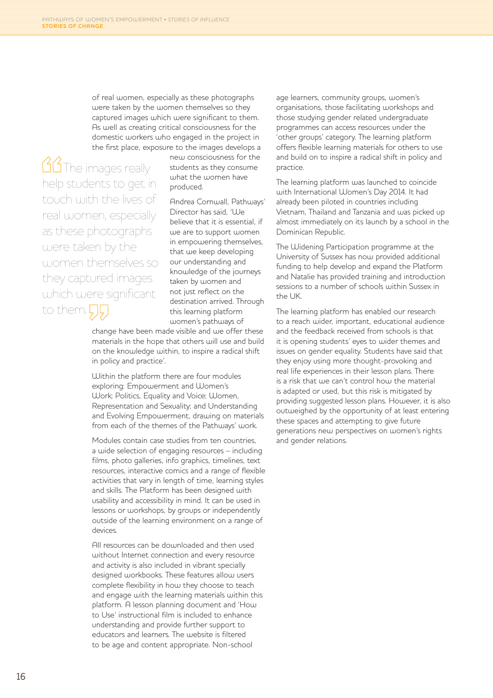of real women, especially as these photographs were taken by the women themselves so they captured images which were significant to them. As well as creating critical consciousness for the domestic workers who engaged in the project in the first place, exposure to the images develops a

**GG**The images really help students to get in touch with the lives of real women, especially as these photographs were taken by the women themselves so they captured images which were significant to them. 55

new consciousness for the students as they consume what the women have produced.

Andrea Cornwall, Pathways' Director has said, 'We believe that it is essential, if we are to support women in empowering themselves, that we keep developing our understanding and knowledge of the journeys taken by women and not just reflect on the destination arrived. Through this learning platform women's pathways of

change have been made visible and we offer these materials in the hope that others will use and build on the knowledge within, to inspire a radical shift in policy and practice'.

Within the platform there are four modules exploring: Empowerment and Women's Work; Politics, Equality and Voice; Women, Representation and Sexuality; and Understanding and Evolving Empowerment, drawing on materials from each of the themes of the Pathways' work.

Modules contain case studies from ten countries, a wide selection of engaging resources – including films, photo galleries, info graphics, timelines, text resources, interactive comics and a range of flexible activities that vary in length of time, learning styles and skills. The Platform has been designed with usability and accessibility in mind. It can be used in lessons or workshops, by groups or independently outside of the learning environment on a range of devices.

All resources can be downloaded and then used without Internet connection and every resource and activity is also included in vibrant specially designed workbooks. These features allow users complete flexibility in how they choose to teach and engage with the learning materials within this platform. A lesson planning document and 'How to Use' instructional film is included to enhance understanding and provide further support to educators and learners. The website is filtered to be age and content appropriate. Non-school

age learners, community groups, women's organisations, those facilitating workshops and those studying gender related undergraduate programmes can access resources under the 'other groups' category. The learning platform offers flexible learning materials for others to use and build on to inspire a radical shift in policy and practice.

The learning platform was launched to coincide with International Women's Day 2014. It had already been piloted in countries including Vietnam, Thailand and Tanzania and was picked up almost immediately on its launch by a school in the Dominican Republic.

The Widening Participation programme at the University of Sussex has now provided additional funding to help develop and expand the Platform and Natalie has provided training and introduction sessions to a number of schools within Sussex in the UK.

The learning platform has enabled our research to a reach wider, important, educational audience and the feedback received from schools is that it is opening students' eyes to wider themes and issues on gender equality. Students have said that they enjoy using more thought-provoking and real life experiences in their lesson plans. There is a risk that we can't control how the material is adapted or used, but this risk is mitigated by providing suggested lesson plans. However, it is also outweighed by the opportunity of at least entering these spaces and attempting to give future generations new perspectives on women's rights and gender relations.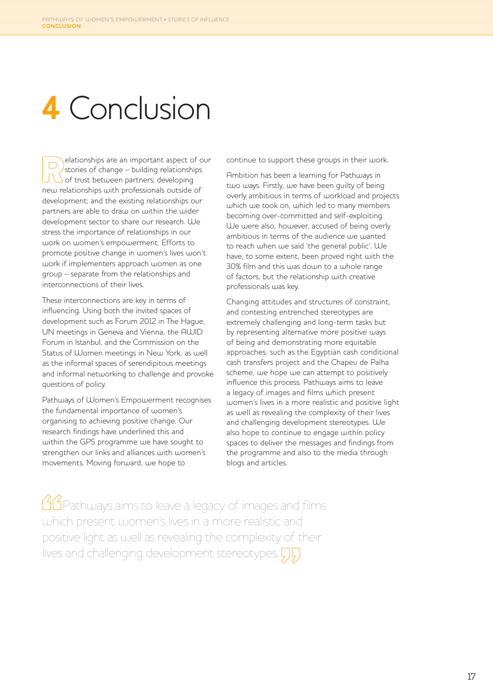### **4** Conclusion

elationships are an important aspect of our stories of change – building relationships of trust between partners; developing new relationships with professionals outside of development; and the existing relationships our partners are able to draw on within the wider development sector to share our research. We stress the importance of relationships in our work on women's empowerment. Efforts to promote positive change in women's lives won't work if implementers approach women as one group – separate from the relationships and interconnections of their lives.

These interconnections are key in terms of influencing. Using both the invited spaces of development such as Forum 2012 in The Hague, UN meetings in Geneva and Vienna, the AWID Forum in Istanbul, and the Commission on the Status of Women meetings in New York, as well as the informal spaces of serendipitous meetings and informal networking to challenge and provoke questions of policy.

Pathways of Women's Empowerment recognises the fundamental importance of women's organising to achieving positive change. Our research findings have underlined this and within the GPS programme we have sought to strengthen our links and alliances with women's movements. Moving forward, we hope to

continue to support these groups in their work.

Ambition has been a learning for Pathways in two ways. Firstly, we have been guilty of being overly ambitious in terms of workload and projects which we took on, which led to many members becoming over-committed and self-exploiting. We were also, however, accused of being overly ambitious in terms of the audience we wanted to reach when we said 'the general public'. We have, to some extent, been proved right with the 30% film and this was down to a whole range of factors, but the relationship with creative professionals was key.

Changing attitudes and structures of constraint, and contesting entrenched stereotypes are extremely challenging and long-term tasks but by representing alternative more positive ways of being and demonstrating more equitable approaches, such as the Egyptian cash conditional cash transfers project and the Chapeu de Palha scheme, we hope we can attempt to positively influence this process. Pathways aims to leave a legacy of images and films which present women's lives in a more realistic and positive light as well as revealing the complexity of their lives and challenging development stereotypes. We also hope to continue to engage within policy spaces to deliver the messages and findings from the programme and also to the media through blogs and articles.

**BB** Pathways aims to leave a legacy of images and films which present women's lives in a more realistic and positive light as well as revealing the complexity of their lives and challenging development stereotypes. 55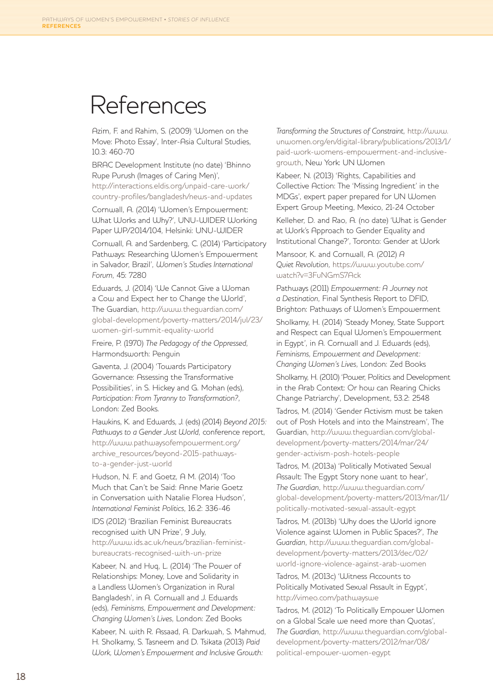### **References**

Azim, F. and Rahim, S. (2009) 'Women on the Move: Photo Essay', Inter-Asia Cultural Studies, 10.3: 460-70

BRAC Development Institute (no date) 'Bhinno Rupe Purush (Images of Caring Men)', [http://interactions.eldis.org/unpaid-care-work/](http://interactions.eldis.org/unpaid-care-work/country-profiles/bangladesh/news-and-updates) [country-profiles/bangladesh/news-and-updates](http://interactions.eldis.org/unpaid-care-work/country-profiles/bangladesh/news-and-updates)

Cornwall, A. (2014) 'Women's Empowerment: What Works and Why?', UNU-WIDER Working Paper WP/2014/104, Helsinki: UNU-WIDER

Cornwall, A. and Sardenberg, C. (2014) 'Participatory Pathways: Researching Women's Empowerment in Salvador, Brazil', *Women's Studies International Forum*, 45: 7280

Edwards, J. (2014) 'We Cannot Give a Woman a Cow and Expect her to Change the World', The Guardian, [http://www.theguardian.com/](http://www.theguardian.com/global-development/poverty-matters/2014/jul/23/women-girl-summit-equality-world) [global-development/poverty-matters/2014/jul/23/](http://www.theguardian.com/global-development/poverty-matters/2014/jul/23/women-girl-summit-equality-world) [women-girl-summit-equality-world](http://www.theguardian.com/global-development/poverty-matters/2014/jul/23/women-girl-summit-equality-world)

Freire, P. (1970) *The Pedagogy of the Oppressed*, Harmondsworth: Penguin

Gaventa, J. (2004) 'Towards Participatory Governance: Assessing the Transformative Possibilities', in S. Hickey and G. Mohan (eds), *Participation: From Tyranny to Transformation?*, London: Zed Books.

Hawkins, K. and Edwards, J. (eds) (2014) *Beyond 2015: Pathways to a Gender Just World*, conference report, [http://www.pathwaysofempowerment.org/](http://www.pathwaysofempowerment.org/archive_resources/beyond-2015-pathways-to-a-gender-just-world) [archive\\_resources/beyond-2015-pathways](http://www.pathwaysofempowerment.org/archive_resources/beyond-2015-pathways-to-a-gender-just-world)[to-a-gender-just-world](http://www.pathwaysofempowerment.org/archive_resources/beyond-2015-pathways-to-a-gender-just-world)

Hudson, N. F. and Goetz, A M. (2014) 'Too Much that Can't be Said: Anne Marie Goetz in Conversation with Natalie Florea Hudson', *International Feminist Politics*, 16.2: 336-46

IDS (2012) 'Brazilian Feminist Bureaucrats recognised with UN Prize', 9 July, [http://www.ids.ac.uk/news/brazilian-feminist](http://www.ids.ac.uk/news/brazilian-feminist-bureaucrats-recognised-with-un-prize)[bureaucrats-recognised-with-un-prize](http://www.ids.ac.uk/news/brazilian-feminist-bureaucrats-recognised-with-un-prize)

Kabeer, N. and Huq, L. (2014) 'The Power of Relationships: Money, Love and Solidarity in a Landless Women's Organization in Rural Bangladesh', in A. Cornwall and J. Edwards (eds), *Feminisms, Empowerment and Development: Changing Women's Lives*, London: Zed Books

Kabeer, N. with R. Assaad, A. Darkwah, S. Mahmud, H. Sholkamy, S. Tasneem and D. Tsikata (2013) *Paid Work, Women's Empowerment and Inclusive Growth:* 

*Transforming the Structures of Constraint*, [http://www.](http://www.unwomen.org/en/digital-library/publications/2013/1/paid-work-womens-empowerment-and-inclusive-growth) [unwomen.org/en/digital-library/publications/2013/1/](http://www.unwomen.org/en/digital-library/publications/2013/1/paid-work-womens-empowerment-and-inclusive-growth) [paid-work-womens-empowerment-and-inclusive](http://www.unwomen.org/en/digital-library/publications/2013/1/paid-work-womens-empowerment-and-inclusive-growth)[growth,](http://www.unwomen.org/en/digital-library/publications/2013/1/paid-work-womens-empowerment-and-inclusive-growth) New York: UN Women

Kabeer, N. (2013) 'Rights, Capabilities and Collective Action: The 'Missing Ingredient' in the MDGs', expert paper prepared for UN Women Expert Group Meeting, Mexico, 21-24 October

Kelleher, D. and Rao, A. (no date) 'What is Gender at Work's Approach to Gender Equality and Institutional Change?', Toronto: Gender at Work Mansoor, K. and Cornwall, A. (2012) *A Quiet Revolution*, [https://www.youtube.com/](https://www.youtube.com/watch?v=3FuNGmS7Ack) [watch?v=3FuNGmS7Ack](https://www.youtube.com/watch?v=3FuNGmS7Ack) 

Pathways (2011) *Empowerment: A Journey not a Destination*, Final Synthesis Report to DFID, Brighton: Pathways of Women's Empowerment

Sholkamy, H. (2014) 'Steady Money, State Support and Respect can Equal Women's Empowerment in Egypt', in A. Cornwall and J. Edwards (eds), *Feminisms, Empowerment and Development: Changing Women's Lives*, London: Zed Books Sholkamy, H. (2010) 'Power, Politics and Development in the Arab Context: Or how can Rearing Chicks Change Patriarchy', Development, 53.2: 2548

Tadros, M. (2014) 'Gender Activism must be taken out of Posh Hotels and into the Mainstream', The Guardian, [http://www.theguardian.com/global](http://www.theguardian.com/global-development/poverty-matters/2014/mar/24/gender-activism-posh-hotels-people)[development/poverty-matters/2014/mar/24/](http://www.theguardian.com/global-development/poverty-matters/2014/mar/24/gender-activism-posh-hotels-people) [gender-activism-posh-hotels-people](http://www.theguardian.com/global-development/poverty-matters/2014/mar/24/gender-activism-posh-hotels-people)

Tadros, M. (2013a) 'Politically Motivated Sexual Assault: The Egypt Story none want to hear', *The Guardian*, [http://www.theguardian.com/](http://www.theguardian.com/global-development/poverty-matters/2013/mar/11/politically-motivated-sexual-assault-egypt) [global-development/poverty-matters/2013/mar/11/](http://www.theguardian.com/global-development/poverty-matters/2013/mar/11/politically-motivated-sexual-assault-egypt) [politically-motivated-sexual-assault-egypt](http://www.theguardian.com/global-development/poverty-matters/2013/mar/11/politically-motivated-sexual-assault-egypt)

Tadros, M. (2013b) 'Why does the World ignore Violence against Women in Public Spaces?', *The Guardian*, [http://www.theguardian.com/global](http://www.theguardian.com/global-development/poverty-matters/2013/dec/02/world-ignore-violence-against-arab-women)[development/poverty-matters/2013/dec/02/](http://www.theguardian.com/global-development/poverty-matters/2013/dec/02/world-ignore-violence-against-arab-women) [world-ignore-violence-against-arab-women](http://www.theguardian.com/global-development/poverty-matters/2013/dec/02/world-ignore-violence-against-arab-women)

Tadros, M. (2013c) 'Witness Accounts to Politically Motivated Sexual Assault in Egypt', <http://vimeo.com/pathwayswe>

Tadros, M. (2012) 'To Politically Empower Women on a Global Scale we need more than Quotas', *The Guardian*, [http://www.theguardian.com/global](http://www.theguardian.com/global-development/poverty-matters/2012/mar/08/political-empower-women-egypt)[development/poverty-matters/2012/mar/08/](http://www.theguardian.com/global-development/poverty-matters/2012/mar/08/political-empower-women-egypt) [political-empower-women-egypt](http://www.theguardian.com/global-development/poverty-matters/2012/mar/08/political-empower-women-egypt)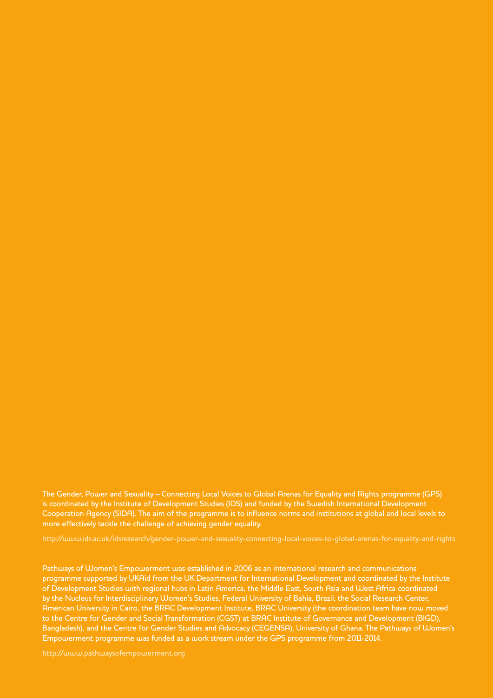The Gender, Power and Sexuality – Connecting Local Voices to Global Arenas for Equality and Rights programme (GPS) is coordinated by the Institute of Development Studies (IDS) and funded by the Swedish International Development Cooperation Agency (SIDA). The aim of the programme is to influence norms and institutions at global and local levels to more effectively tackle the challenge of achieving gender equality.

Pathways of Women's Empowerment was established in 2006 as an international research and communications programme supported by UKAid from the UK Department for International Development and coordinated by the Institute of Development Studies with regional hubs in Latin America, the Middle East, South Asia and West Africa coordinated by the Nucleus for Interdisciplinary Women's Studies, Federal University of Bahia, Brazil, the Social Research Center, American University in Cairo, the BRAC Development Institute, BRAC University (the coordination team have now moved to the Centre for Gender and Social Transformation (CGST) at BRAC Institute of Governance and Development (BIGD), Bangladesh), and the Centre for Gender Studies and Advocacy (CEGENSA), University of Ghana. The Pathways of Women's Empowerment programme was funded as a work stream under the GPS programme from 2011-2014.